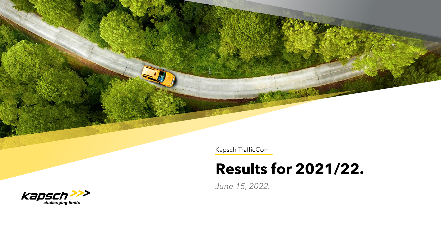Kapsch TrafficCom

Untertitel der Präsentation

# **Results for 2021/22.**

*June 15, 2022.*

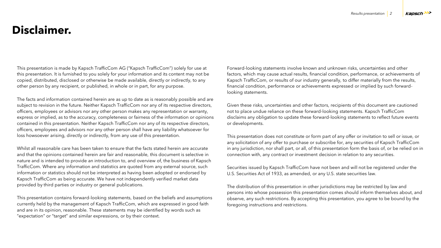# **Disclaimer.**

This presentation is made by Kapsch TrafficCom AG ("Kapsch TrafficCom") solely for use at this presentation. It is furnished to you solely for your information and its content may not be copied, distributed, disclosed or otherwise be made available, directly or indirectly, to any other person by any recipient, or published, in whole or in part, for any purpose.

The facts and information contained herein are as up to date as is reasonably possible and are subject to revision in the future. Neither Kapsch TrafficCom nor any of its respective directors, officers, employees or advisors nor any other person makes any representation or warranty, express or implied, as to the accuracy, completeness or fairness of the information or opinions contained in this presentation. Neither Kapsch TrafficCom nor any of its respective directors, officers, employees and advisors nor any other person shall have any liability whatsoever for loss howsoever arising, directly or indirectly, from any use of this presentation.

Whilst all reasonable care has been taken to ensure that the facts stated herein are accurate and that the opinions contained herein are fair and reasonable, this document is selective in nature and is intended to provide an introduction to, and overview of, the business of Kapsch TrafficCom. Where any information and statistics are quoted from any external source, such information or statistics should not be interpreted as having been adopted or endorsed by Kapsch TrafficCom as being accurate. We have not independently verified market data provided by third parties or industry or general publications.

This presentation contains forward-looking statements, based on the beliefs and assumptions currently held by the management of Kapsch TrafficCom, which are expressed in good faith and are in its opinion, reasonable. These statements may be identified by words such as "expectation" or "target" and similar expressions, or by their context.

Forward-looking statements involve known and unknown risks, uncertainties and other factors, which may cause actual results, financial condition, performance, or achievements of Kapsch TrafficCom, or results of our industry generally, to differ materially from the results, financial condition, performance or achievements expressed or implied by such forwardlooking statements.

Given these risks, uncertainties and other factors, recipients of this document are cautioned not to place undue reliance on these forward-looking statements. Kapsch TrafficCom disclaims any obligation to update these forward-looking statements to reflect future events or developments.

This presentation does not constitute or form part of any offer or invitation to sell or issue, or any solicitation of any offer to purchase or subscribe for, any securities of Kapsch TrafficCom in any jurisdiction, nor shall part, or all, of this presentation form the basis of, or be relied on in connection with, any contract or investment decision in relation to any securities.

Securities issued by Kapsch TrafficCom have not been and will not be registered under the U.S. Securities Act of 1933, as amended, or any U.S. state securities law.

The distribution of this presentation in other jurisdictions may be restricted by law and persons into whose possession this presentation comes should inform themselves about, and observe, any such restrictions. By accepting this presentation, you agree to be bound by the foregoing instructions and restrictions.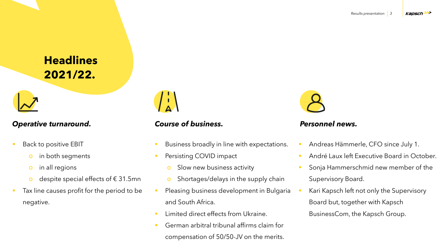**Headlines 2021/22.**

## *Operative turnaround.*

- Back to positive EBIT
	- o in both segments
	- o in all regions
	- o despite special effects of  $\epsilon$  31.5mn
- Tax line causes profit for the period to be negative.



## *Course of business.*

- Business broadly in line with expectations.
- **•** Persisting COVID impact
	- o Slow new business activity
	- o Shortages/delays in the supply chain
- **•** Pleasing business development in Bulgaria and South Africa.
- **E** Limited direct effects from Ukraine.
- German arbitral tribunal affirms claim for compensation of 50/50-JV on the merits.



#### *Personnel news.*

- Andreas Hämmerle, CFO since July 1.
- André Laux left Executive Board in October.
- Sonja Hammerschmid new member of the Supervisory Board.
- Kari Kapsch left not only the Supervisory Board but, together with Kapsch BusinessCom, the Kapsch Group.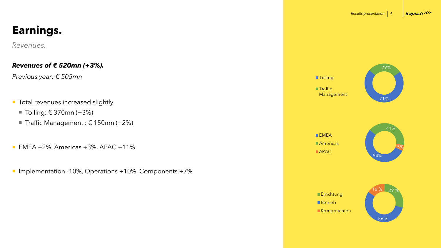#### *Revenues.*

#### *Revenues of € 520mn (+3%).*

*Previous year: € 505mn*

- **Total revenues increased slightly.** 
	- Tolling:  $€ 370$ mn (+3%)
	- Traffic Management :  $€ 150$ mn (+2%)
- $\blacksquare$  EMEA +2%, Americas +3%, APAC +11%
- Implementation -10%, Operations +10%, Components +7%







 $EMEA$ **Americas** APAC

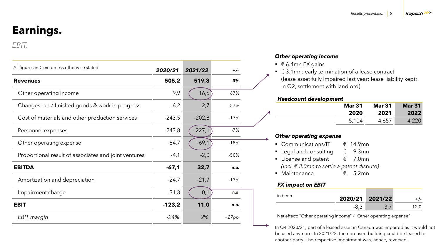#### *EBIT.*

| All figures in $\epsilon$ mn unless otherwise stated | 2020/21  | 2021/22  | $+/-$   |
|------------------------------------------------------|----------|----------|---------|
| <b>Revenues</b>                                      | 505,2    | 519,8    | 3%      |
| Other operating income                               | 9,9      | 16,6     | 67%     |
| Changes: un-/ finished goods & work in progress      | $-6,2$   | $-2,7$   | $-57%$  |
| Cost of materials and other production services      | $-243,5$ | $-202,8$ | $-17%$  |
| Personnel expenses                                   | $-243,8$ | $-227,1$ | $-7%$   |
| Other operating expense                              | $-84,7$  | $-69,1$  | $-18%$  |
| Proportional result of associates and joint ventures | $-4,1$   | $-2,0$   | $-50%$  |
| <b>EBITDA</b>                                        | $-67,1$  | 32,7     | n.a.    |
| Amortization and depreciation                        | $-24,7$  | $-21,7$  | $-13%$  |
| Impairment charge                                    | $-31,3$  | 0,1      | n.a.    |
| <b>EBIT</b>                                          | $-123,2$ | 11,0     | n.a.    |
| EBIT margin                                          | $-24%$   | 2%       | $+27pp$ |

#### *Other operating income*

- $€ 6.4$ mn FX gains
- $€ 3.1$ mn: early termination of a lease contract (lease asset fully impaired last year; lease liability kept; in Q2, settlement with landlord)

#### *Headcount development*

| <b>Mar 31</b> | <b>Mar 31</b> | <b>Mar 31</b> |
|---------------|---------------|---------------|
| 2020          | 2021          | 2022          |
| 5,104         | 4,657         |               |

#### *Other operating expense*

- Communications/IT  $\epsilon$  14.9mn
- Legal and consulting  $\epsilon$  9.3mn
- License and patent  $\epsilon$  7.0mn *(incl. € 3.0mn to settle a patent dispute)*
- Maintenance € 5.2mn

#### *FX impact on EBIT*

| in $\epsilon$ mn | 2020/21 2021/22 |  |  |
|------------------|-----------------|--|--|
|                  |                 |  |  |

Net effect: "Other operating income" / "Other operating expense"

In Q4 2020/21, part of a leased asset in Canada was impaired as it would not be used anymore. In 2021/22, the non-used building could be leased to another party. The respective impairment was, hence, reversed.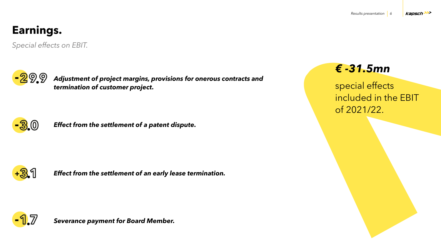*Special effects on EBIT.*



*Adjustment of project margins, provisions for onerous contracts and termination of customer project.* 



**-** *Effect from the settlement of a patent dispute.* 



**<sup>+</sup>** *Effect from the settlement of an early lease termination.* **.**



*Severance payment for Board Member.*

# *€ -31.5mn*

special effects included in the EBIT of 2021/22.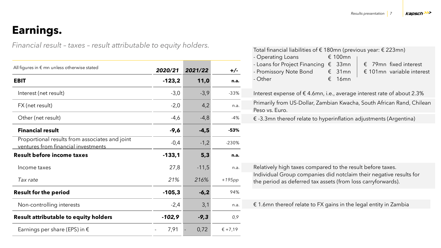*Financial result – taxes – result attributable to equity holders.*

| All figures in $\epsilon$ mn unless otherwise stated                                  | 2020/21  | 2021/22 | $+/-$    |
|---------------------------------------------------------------------------------------|----------|---------|----------|
| <b>EBIT</b>                                                                           | $-123,2$ | 11,0    | n.a.     |
| Interest (net result)                                                                 | $-3,0$   | $-3,9$  | $-33%$   |
| FX (net result)                                                                       | $-2,0$   | 4,2     | n.a.     |
| Other (net result)                                                                    | $-4,6$   | $-4,8$  | $-4%$    |
| <b>Financial result</b>                                                               | $-9,6$   | $-4,5$  | $-53%$   |
| Proportional results from associates and joint<br>ventures from financial investments | $-0,4$   | $-1,2$  | $-230%$  |
| <b>Result before income taxes</b>                                                     | $-133,1$ | 5,3     | n.a.     |
| Income taxes                                                                          | 27,8     | $-11,5$ | n.a.     |
| Tax rate                                                                              | 21%      | 216%    | $+195pp$ |
| <b>Result for the period</b>                                                          | $-105,3$ | $-6,2$  | 94%      |
| Non-controlling interests                                                             | $-2,4$   | 3,1     | n.a.     |
| Result attributable to equity holders                                                 | $-102,9$ | $-9,3$  | 0,9      |
| Earnings per share (EPS) in $\epsilon$                                                | 7,91     | 0,72    | € +7,19  |

| Total financial liabilities of € 180mn (previous year: € 223mn)                                                                    |
|------------------------------------------------------------------------------------------------------------------------------------|
| € 100mn<br>- Operating Loans                                                                                                       |
| - Loans for Project Financing $\epsilon$ 33mn<br>$\epsilon$ 79mn fixed interest                                                    |
| - Promissory Note Bond<br>$\epsilon$ 31mn<br>$\epsilon$ 101mn variable interest                                                    |
| €<br>- Other<br>16mn                                                                                                               |
| Interest expense of $\epsilon$ 4.6mn, i.e., average interest rate of about 2.3%                                                    |
| Primarily from US-Dollar, Zambian Kwacha, South African Rand, Chilean<br>Peso vs. Euro.                                            |
| $\epsilon$ -3.3mn thereof relate to hyperinflation adjustments (Argentina)                                                         |
|                                                                                                                                    |
| Relatively high taxes compared to the result before taxes.                                                                         |
| Individual Group companies did notclaim their negative results for<br>the period as deferred tax assets (from loss carryforwards). |
|                                                                                                                                    |
| $\epsilon$ 1.6mn thereof relate to FX gains in the legal entity in Zambia                                                          |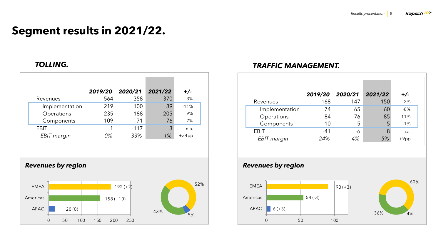# **Segment results in 2021/22.**

|                | 2019/20 2020/21 |        | 2021/22 | $+/-$    |
|----------------|-----------------|--------|---------|----------|
| Revenues       | 564             | 358    | 370     | 3%       |
| Implementation | 219             | 100    | 89      | $-11%$   |
| Operations     | 235             | 188    | 205     | 9%       |
| Components     | 109             | 71     | 76      | 7%       |
| <b>EBIT</b>    |                 | $-117$ | 3       | n.a.     |
| EBIT margin    | 0%              | $-33%$ | $1\%$   | $+34$ pp |

#### *Revenues by region*



## *TOLLING. TRAFFIC MANAGEMENT.*

|                | 2019/20 2020/21 |       | 2021/22 |         |
|----------------|-----------------|-------|---------|---------|
| Revenues       | 168             | 147   | 150     | 2%      |
| Implementation | 74              | 65    | 60      | $-8%$   |
| Operations     | 84              | 76    | 85      | 11%     |
| Components     | 10              | 5     | 5       | $-1%$   |
| <b>EBIT</b>    | $-41$           | -6    | 8       | n.a.    |
| EBIT margin    | $-24%$          | $-4%$ | 5%      | $+9$ pp |

## *Revenues by region*

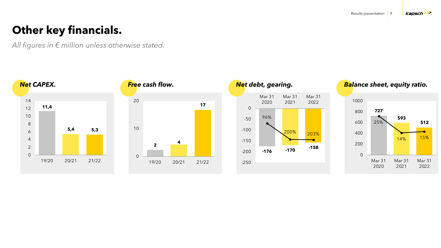# **Other key financials.**

*All figures in € million unless otherwise stated.*

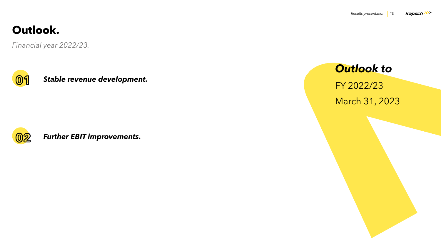# **Outlook.**

*Financial year 2022/23.*



*Stable revenue development.* 



*Further EBIT improvements.*

*Outlook to* FY 2022/23

March 31, 2023